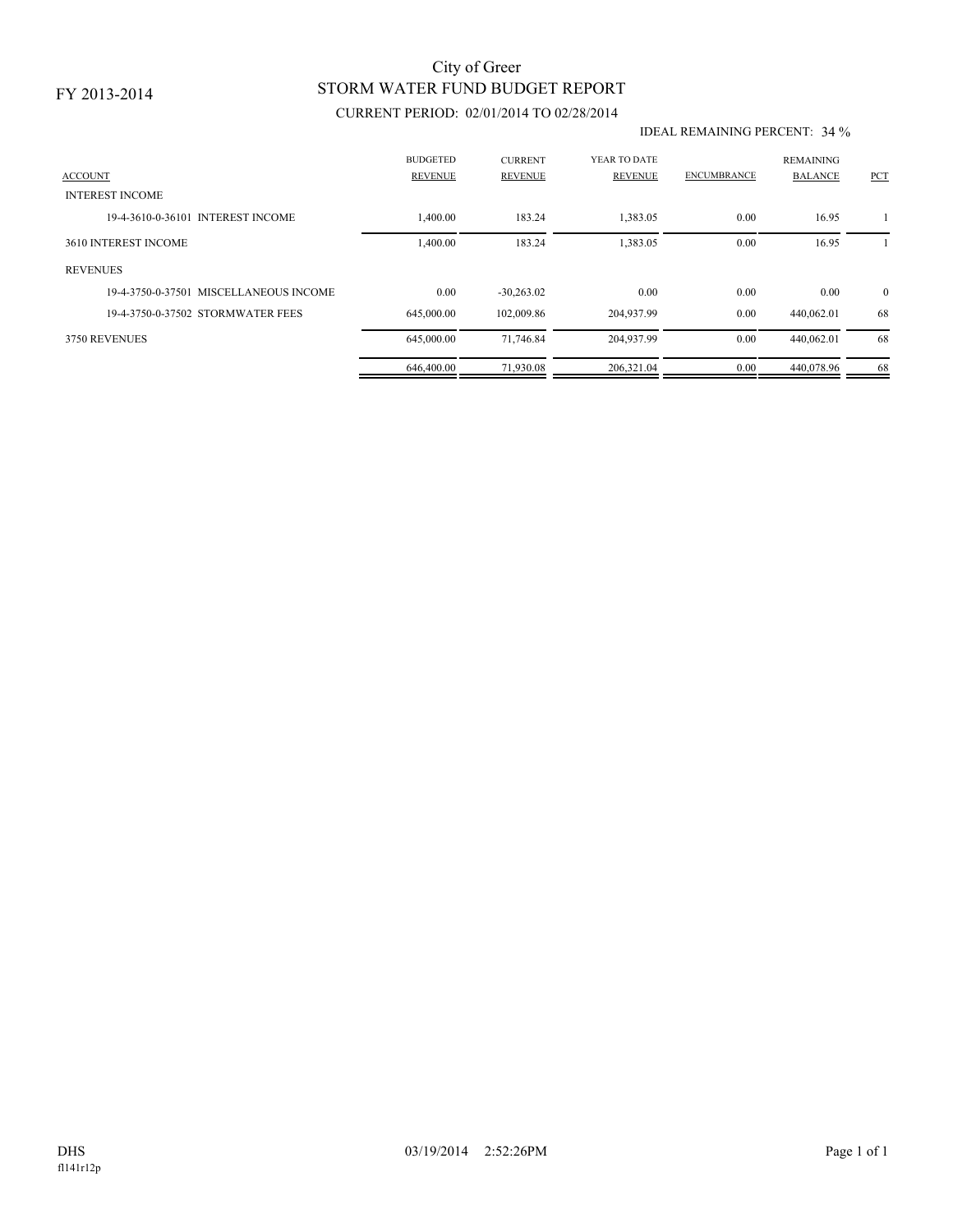# STORM WATER FUND BUDGET REPORT City of Greer

## CURRENT PERIOD: 02/01/2014 TO 02/28/2014

#### IDEAL REMAINING PERCENT: 34 %

| <b>ACCOUNT</b>                         | <b>BUDGETED</b><br><b>REVENUE</b> | <b>CURRENT</b><br><b>REVENUE</b> | YEAR TO DATE<br><b>REVENUE</b> | <b>ENCUMBRANCE</b> | <b>REMAINING</b><br><b>BALANCE</b> | <b>PCT</b>     |
|----------------------------------------|-----------------------------------|----------------------------------|--------------------------------|--------------------|------------------------------------|----------------|
| <b>INTEREST INCOME</b>                 |                                   |                                  |                                |                    |                                    |                |
| 19-4-3610-0-36101 INTEREST INCOME      | 1,400.00                          | 183.24                           | 1,383.05                       | 0.00               | 16.95                              |                |
| 3610 INTEREST INCOME                   | 1,400.00                          | 183.24                           | 1,383.05                       | 0.00               | 16.95                              |                |
| <b>REVENUES</b>                        |                                   |                                  |                                |                    |                                    |                |
| 19-4-3750-0-37501 MISCELLANEOUS INCOME | 0.00                              | $-30,263.02$                     | 0.00                           | 0.00               | 0.00                               | $\overline{0}$ |
| 19-4-3750-0-37502 STORMWATER FEES      | 645,000.00                        | 102,009.86                       | 204,937.99                     | 0.00               | 440,062.01                         | 68             |
| 3750 REVENUES                          | 645,000.00                        | 71,746.84                        | 204,937.99                     | 0.00               | 440,062.01                         | 68             |
|                                        | 646,400.00                        | 71,930.08                        | 206,321.04                     | 0.00               | 440,078.96                         | 68             |